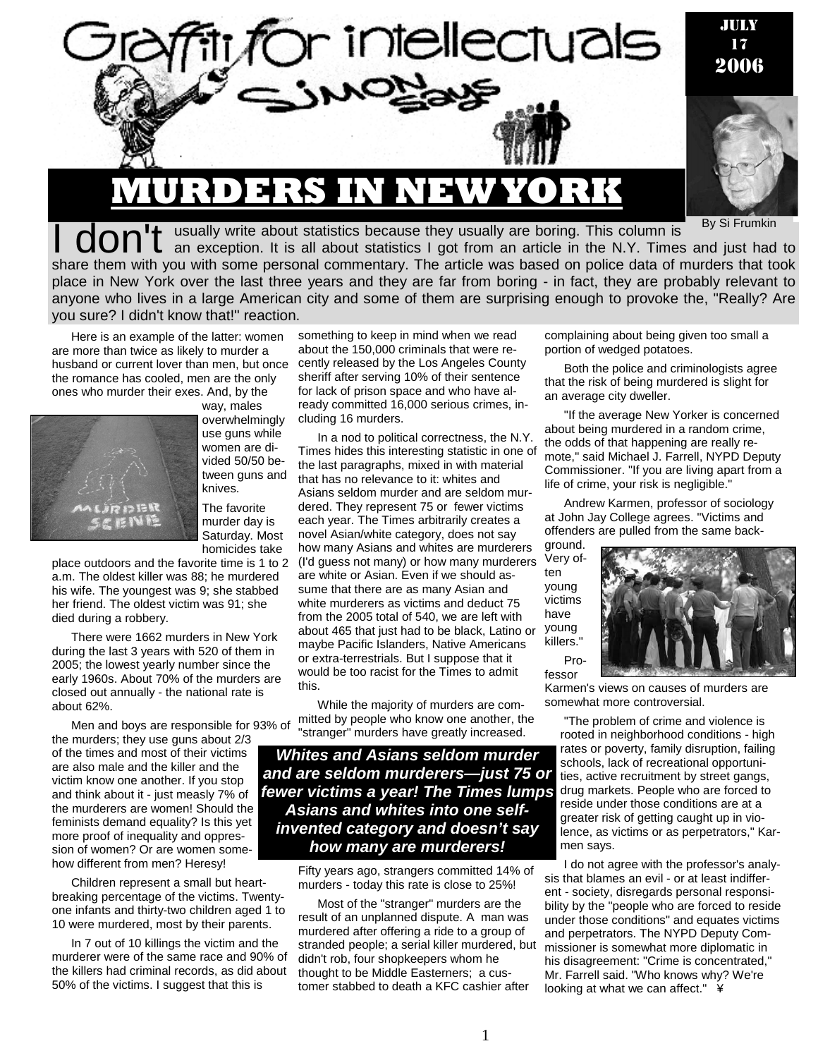

By Si Frumkin

**don't** usually write about statistics because they usually are boring. This column is <sup>By Si Frumkin</sup><br> **don't** an exception. It is all about statistics I got from an article in the N.Y. Times and just had to share them with you with some personal commentary. The article was based on police data of murders that took place in New York over the last three years and they are far from boring - in fact, they are probably relevant to anyone who lives in a large American city and some of them are surprising enough to provoke the, "Really? Are you sure? I didn't know that!" reaction.

Here is an example of the latter: women are more than twice as likely to murder a husband or current lover than men, but once the romance has cooled, men are the only ones who murder their exes. And, by the way, males



overwhelmingly use guns while women are divided 50/50 between guns and knives. The favorite

murder day is Saturday. Most homicides take

place outdoors and the favorite time is 1 to 2 a.m. The oldest killer was 88; he murdered his wife. The youngest was 9; she stabbed her friend. The oldest victim was 91; she died during a robbery.

There were 1662 murders in New York during the last 3 years with 520 of them in 2005; the lowest yearly number since the early 1960s. About 70% of the murders are closed out annually - the national rate is about 62%.

Men and boys are responsible for 93% of the murders; they use guns about 2/3 of the times and most of their victims are also male and the killer and the victim know one another. If you stop and think about it - just measly 7% of the murderers are women! Should the feminists demand equality? Is this yet more proof of inequality and oppression of women? Or are women somehow different from men? Heresy!

Children represent a small but heartbreaking percentage of the victims. Twentyone infants and thirty-two children aged 1 to 10 were murdered, most by their parents.

In 7 out of 10 killings the victim and the murderer were of the same race and 90% of the killers had criminal records, as did about 50% of the victims. I suggest that this is

something to keep in mind when we read about the 150,000 criminals that were recently released by the Los Angeles County sheriff after serving 10% of their sentence for lack of prison space and who have already committed 16,000 serious crimes, including 16 murders.

In a nod to political correctness, the N.Y. Times hides this interesting statistic in one of the last paragraphs, mixed in with material that has no relevance to it: whites and Asians seldom murder and are seldom murdered. They represent 75 or fewer victims each year. The Times arbitrarily creates a novel Asian/white category, does not say how many Asians and whites are murderers (I'd guess not many) or how many murderers are white or Asian. Even if we should assume that there are as many Asian and white murderers as victims and deduct 75 from the 2005 total of 540, we are left with about 465 that just had to be black, Latino or maybe Pacific Islanders, Native Americans or extra-terrestrials. But I suppose that it would be too racist for the Times to admit this.

While the majority of murders are committed by people who know one another, the "stranger" murders have greatly increased.

*Whites and Asians seldom murder and are seldom murderers—just 75 or fewer victims a year! The Times lumps Asians and whites into one selfinvented category and doesn't say how many are murderers!* 

> Fifty years ago, strangers committed 14% of murders - today this rate is close to 25%!

> Most of the "stranger" murders are the result of an unplanned dispute. A man was murdered after offering a ride to a group of stranded people; a serial killer murdered, but didn't rob, four shopkeepers whom he thought to be Middle Easterners; a customer stabbed to death a KFC cashier after

complaining about being given too small a portion of wedged potatoes.

Both the police and criminologists agree that the risk of being murdered is slight for an average city dweller.

"If the average New Yorker is concerned about being murdered in a random crime, the odds of that happening are really remote," said Michael J. Farrell, NYPD Deputy Commissioner. "If you are living apart from a life of crime, your risk is negligible."

Andrew Karmen, professor of sociology at John Jay College agrees. "Victims and offenders are pulled from the same back-

ground. Very often young victims have young killers. Pro-

fessor



Karmen's views on causes of murders are somewhat more controversial.

"The problem of crime and violence is rooted in neighborhood conditions - high rates or poverty, family disruption, failing schools, lack of recreational opportunities, active recruitment by street gangs, drug markets. People who are forced to reside under those conditions are at a greater risk of getting caught up in violence, as victims or as perpetrators," Karmen says.

I do not agree with the professor's analysis that blames an evil - or at least indifferent - society, disregards personal responsibility by the "people who are forced to reside under those conditions" and equates victims and perpetrators. The NYPD Deputy Commissioner is somewhat more diplomatic in his disagreement: "Crime is concentrated," Mr. Farrell said. "Who knows why? We're looking at what we can affect." ¥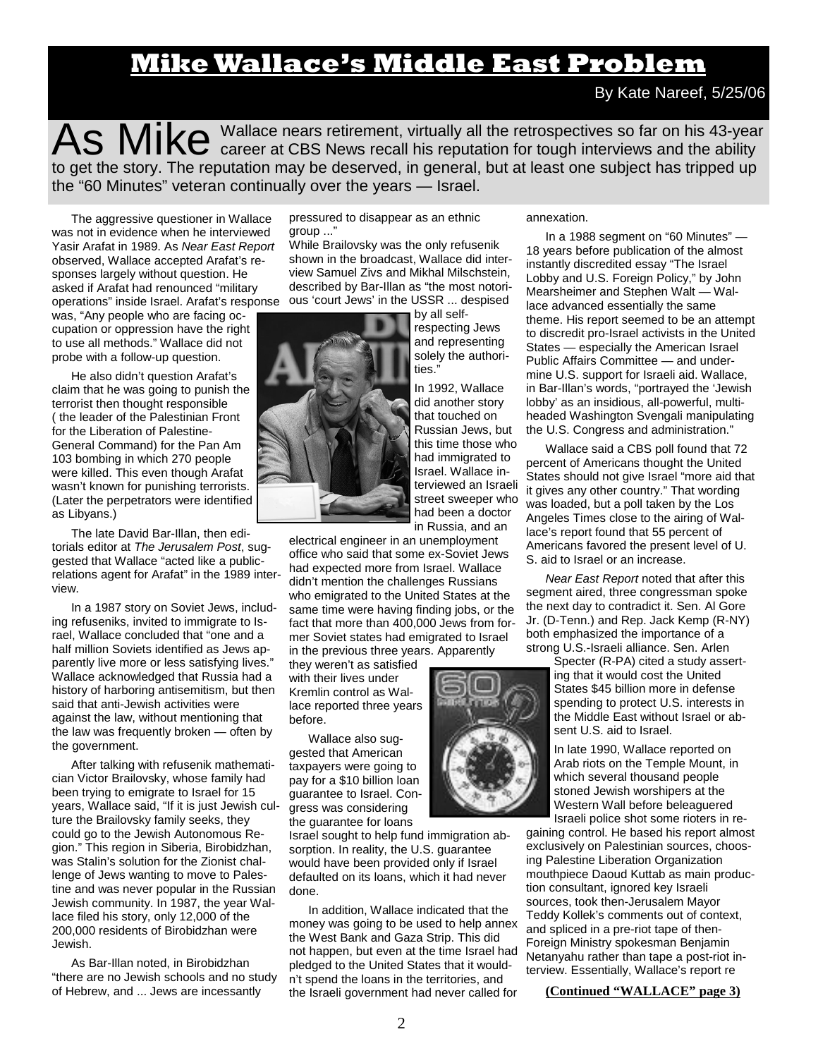# **Mike Wallace's Middle East Problem**

By Kate Nareef, 5/25/06

As Mike Wallace nears retirement, virtually all the retrospectives so far on his 43-year career at CBS News recall his reputation for tough interviews and the ability to get the story. The reputation may be deserved, in general, but at least one subject has tripped up the "60 Minutes" veteran continually over the years — Israel.

The aggressive questioner in Wallace was not in evidence when he interviewed Yasir Arafat in 1989. As *Near East Report*  observed, Wallace accepted Arafat's responses largely without question. He asked if Arafat had renounced "military

was, "Any people who are facing occupation or oppression have the right to use all methods." Wallace did not probe with a follow-up question.

He also didn't question Arafat's claim that he was going to punish the terrorist then thought responsible ( the leader of the Palestinian Front for the Liberation of Palestine-General Command) for the Pan Am 103 bombing in which 270 people were killed. This even though Arafat wasn't known for punishing terrorists. (Later the perpetrators were identified as Libyans.)

The late David Bar-Illan, then editorials editor at *The Jerusalem Post*, suggested that Wallace "acted like a publicrelations agent for Arafat" in the 1989 interview.

In a 1987 story on Soviet Jews, including refuseniks, invited to immigrate to Israel, Wallace concluded that "one and a half million Soviets identified as Jews apparently live more or less satisfying lives." Wallace acknowledged that Russia had a history of harboring antisemitism, but then said that anti-Jewish activities were against the law, without mentioning that the law was frequently broken — often by the government.

After talking with refusenik mathematician Victor Brailovsky, whose family had been trying to emigrate to Israel for 15 years, Wallace said, "If it is just Jewish culture the Brailovsky family seeks, they could go to the Jewish Autonomous Region." This region in Siberia, Birobidzhan, was Stalin's solution for the Zionist challenge of Jews wanting to move to Palestine and was never popular in the Russian Jewish community. In 1987, the year Wallace filed his story, only 12,000 of the 200,000 residents of Birobidzhan were Jewish.

As Bar-Illan noted, in Birobidzhan "there are no Jewish schools and no study of Hebrew, and ... Jews are incessantly

pressured to disappear as an ethnic group ..."

operations" inside Israel. Arafat's response ous 'court Jews' in the USSR ... despised While Brailovsky was the only refusenik shown in the broadcast, Wallace did interview Samuel Zivs and Mikhal Milschstein, described by Bar-Illan as "the most notori-



electrical engineer in an unemployment office who said that some ex-Soviet Jews had expected more from Israel. Wallace didn't mention the challenges Russians who emigrated to the United States at the same time were having finding jobs, or the fact that more than 400,000 Jews from former Soviet states had emigrated to Israel in the previous three years. Apparently

they weren't as satisfied with their lives under Kremlin control as Wallace reported three years before.

Wallace also suggested that American taxpayers were going to pay for a \$10 billion loan guarantee to Israel. Congress was considering the guarantee for loans

Israel sought to help fund immigration absorption. In reality, the U.S. guarantee would have been provided only if Israel defaulted on its loans, which it had never done.

In addition, Wallace indicated that the money was going to be used to help annex the West Bank and Gaza Strip. This did not happen, but even at the time Israel had pledged to the United States that it wouldn't spend the loans in the territories, and the Israeli government had never called for

annexation.

In a 1988 segment on "60 Minutes" — 18 years before publication of the almost instantly discredited essay "The Israel Lobby and U.S. Foreign Policy," by John Mearsheimer and Stephen Walt — Wallace advanced essentially the same theme. His report seemed to be an attempt to discredit pro-Israel activists in the United States — especially the American Israel Public Affairs Committee — and undermine U.S. support for Israeli aid. Wallace, in Bar-Illan's words, "portrayed the 'Jewish lobby' as an insidious, all-powerful, multiheaded Washington Svengali manipulating the U.S. Congress and administration."

Wallace said a CBS poll found that 72 percent of Americans thought the United States should not give Israel "more aid that it gives any other country." That wording was loaded, but a poll taken by the Los Angeles Times close to the airing of Wallace's report found that 55 percent of Americans favored the present level of U. S. aid to Israel or an increase.

*Near East Report* noted that after this segment aired, three congressman spoke the next day to contradict it. Sen. Al Gore Jr. (D-Tenn.) and Rep. Jack Kemp (R-NY) both emphasized the importance of a strong U.S.-Israeli alliance. Sen. Arlen

> Specter (R-PA) cited a study asserting that it would cost the United States \$45 billion more in defense spending to protect U.S. interests in the Middle East without Israel or absent U.S. aid to Israel.

> In late 1990, Wallace reported on Arab riots on the Temple Mount, in which several thousand people stoned Jewish worshipers at the Western Wall before beleaguered Israeli police shot some rioters in re-

gaining control. He based his report almost exclusively on Palestinian sources, choosing Palestine Liberation Organization mouthpiece Daoud Kuttab as main production consultant, ignored key Israeli sources, took then-Jerusalem Mayor Teddy Kollek's comments out of context, and spliced in a pre-riot tape of then-Foreign Ministry spokesman Benjamin Netanyahu rather than tape a post-riot interview. Essentially, Wallace's report re

**(Continued "WALLACE" page 3)**

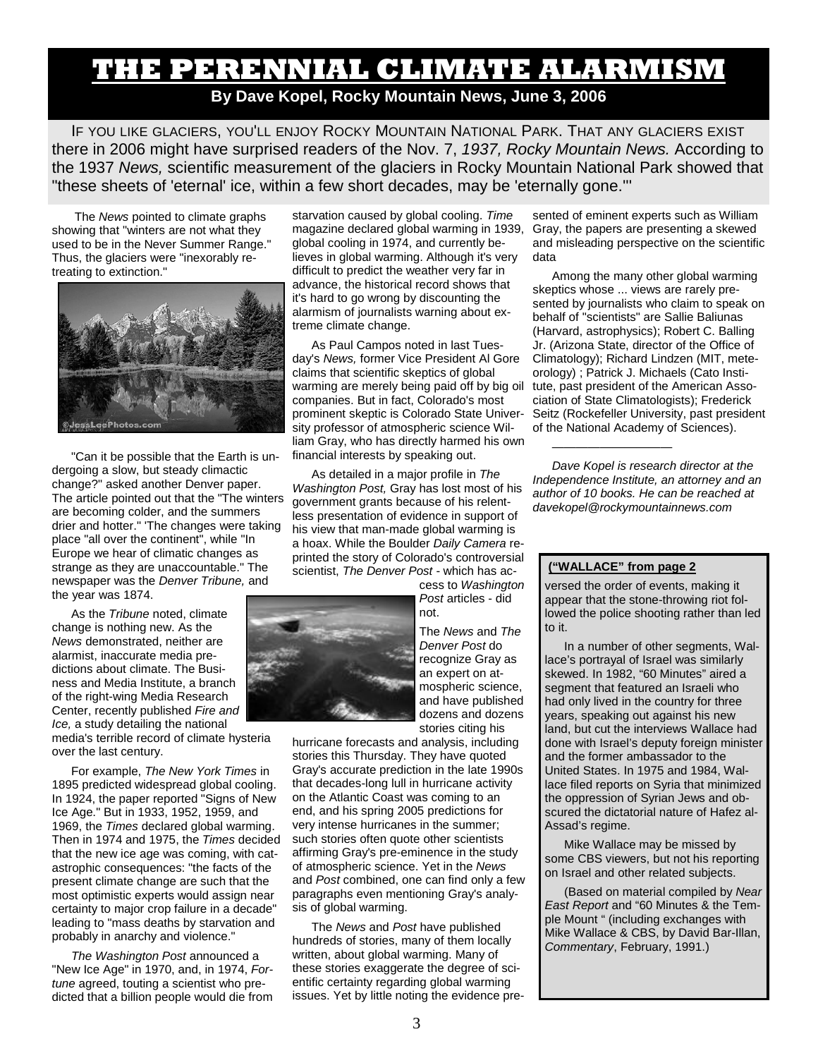## **THE PERENNIAL CLIMATE ALARMISM By Dave Kopel, Rocky Mountain News, June 3, 2006**

IF YOU LIKE GLACIERS, YOU'LL ENJOY ROCKY MOUNTAIN NATIONAL PARK. THAT ANY GLACIERS EXIST there in 2006 might have surprised readers of the Nov. 7, *1937, Rocky Mountain News.* According to the 1937 *News,* scientific measurement of the glaciers in Rocky Mountain National Park showed that "these sheets of 'eternal' ice, within a few short decades, may be 'eternally gone.'''

 The *News* pointed to climate graphs showing that "winters are not what they used to be in the Never Summer Range." Thus, the glaciers were "inexorably retreating to extinction."



"Can it be possible that the Earth is undergoing a slow, but steady climactic change?" asked another Denver paper. The article pointed out that the "The winters are becoming colder, and the summers drier and hotter." 'The changes were taking place "all over the continent", while "In Europe we hear of climatic changes as strange as they are unaccountable." The newspaper was the *Denver Tribune,* and the year was 1874.

As the *Tribune* noted, climate change is nothing new. As the *News* demonstrated, neither are alarmist, inaccurate media predictions about climate. The Business and Media Institute, a branch of the right-wing Media Research Center, recently published *Fire and Ice,* a study detailing the national

media's terrible record of climate hysteria over the last century.

For example, *The New York Times* in 1895 predicted widespread global cooling. In 1924, the paper reported "Signs of New Ice Age." But in 1933, 1952, 1959, and 1969, the *Times* declared global warming. Then in 1974 and 1975, the *Times* decided that the new ice age was coming, with catastrophic consequences: "the facts of the present climate change are such that the most optimistic experts would assign near certainty to major crop failure in a decade" leading to "mass deaths by starvation and probably in anarchy and violence."

*The Washington Post* announced a "New Ice Age" in 1970, and, in 1974, *Fortune* agreed, touting a scientist who predicted that a billion people would die from starvation caused by global cooling. *Time*  magazine declared global warming in 1939, global cooling in 1974, and currently believes in global warming. Although it's very difficult to predict the weather very far in advance, the historical record shows that it's hard to go wrong by discounting the alarmism of journalists warning about extreme climate change.

As Paul Campos noted in last Tuesday's *News,* former Vice President Al Gore claims that scientific skeptics of global warming are merely being paid off by big oil companies. But in fact, Colorado's most prominent skeptic is Colorado State University professor of atmospheric science William Gray, who has directly harmed his own financial interests by speaking out.

As detailed in a major profile in *The Washington Post,* Gray has lost most of his government grants because of his relentless presentation of evidence in support of his view that man-made global warming is a hoax. While the Boulder *Daily Camera* reprinted the story of Colorado's controversial scientist, *The Denver Post* - which has ac-

> cess to *Washington Post* articles - did not.

The *News* and *The Denver Post* do recognize Gray as an expert on atmospheric science, and have published dozens and dozens stories citing his

hurricane forecasts and analysis, including stories this Thursday. They have quoted Gray's accurate prediction in the late 1990s that decades-long lull in hurricane activity on the Atlantic Coast was coming to an end, and his spring 2005 predictions for very intense hurricanes in the summer; such stories often quote other scientists affirming Gray's pre-eminence in the study of atmospheric science. Yet in the *News*  and *Post* combined, one can find only a few paragraphs even mentioning Gray's analysis of global warming.

The *News* and *Post* have published hundreds of stories, many of them locally written, about global warming. Many of these stories exaggerate the degree of scientific certainty regarding global warming issues. Yet by little noting the evidence pre-

sented of eminent experts such as William Gray, the papers are presenting a skewed and misleading perspective on the scientific data

Among the many other global warming skeptics whose ... views are rarely presented by journalists who claim to speak on behalf of "scientists" are Sallie Baliunas (Harvard, astrophysics); Robert C. Balling Jr. (Arizona State, director of the Office of Climatology); Richard Lindzen (MIT, meteorology) ; Patrick J. Michaels (Cato Institute, past president of the American Association of State Climatologists); Frederick Seitz (Rockefeller University, past president of the National Academy of Sciences).

*Dave Kopel is research director at the Independence Institute, an attorney and an author of 10 books. He can be reached at davekopel@rockymountainnews.com* 

### **("WALLACE" from page 2**

——————————

versed the order of events, making it appear that the stone-throwing riot followed the police shooting rather than led to it.

In a number of other segments, Wallace's portrayal of Israel was similarly skewed. In 1982, "60 Minutes" aired a segment that featured an Israeli who had only lived in the country for three years, speaking out against his new land, but cut the interviews Wallace had done with Israel's deputy foreign minister and the former ambassador to the United States. In 1975 and 1984, Wallace filed reports on Syria that minimized the oppression of Syrian Jews and obscured the dictatorial nature of Hafez al-Assad's regime.

Mike Wallace may be missed by some CBS viewers, but not his reporting on Israel and other related subjects.

(Based on material compiled by *Near East Report* and "60 Minutes & the Temple Mount " (including exchanges with Mike Wallace & CBS, by David Bar-Illan, *Commentary*, February, 1991.)